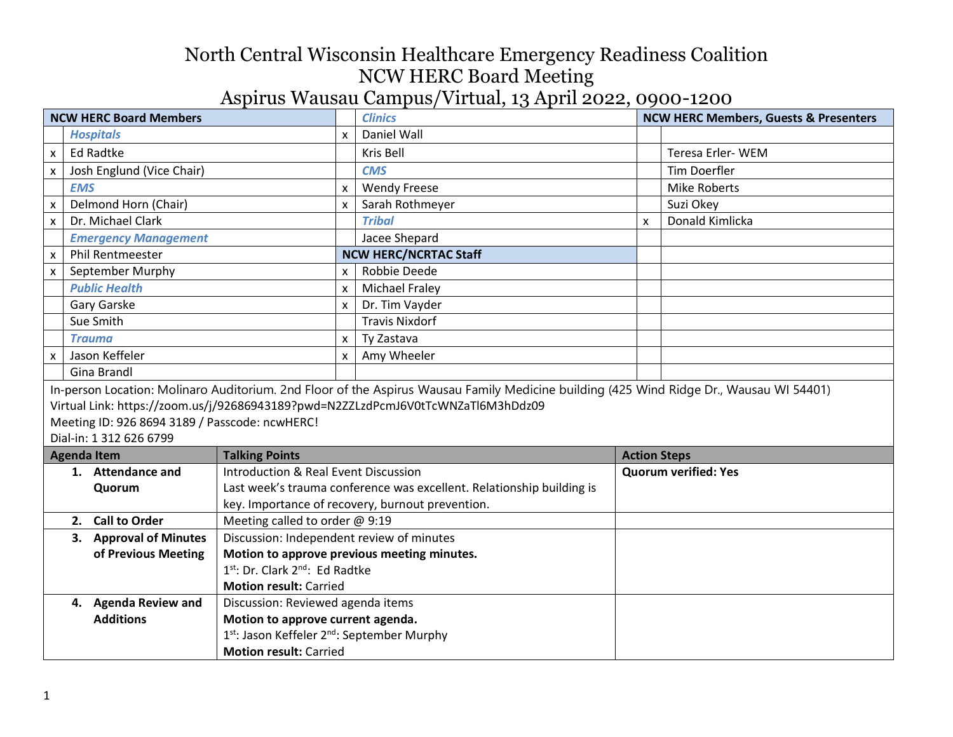| <b>NCW HERC Board Members</b>                                                                                                           |                                                                     |                                           | <b>Clinics</b> |                                                                       | <b>NCW HERC Members, Guests &amp; Presenters</b> |                             |
|-----------------------------------------------------------------------------------------------------------------------------------------|---------------------------------------------------------------------|-------------------------------------------|----------------|-----------------------------------------------------------------------|--------------------------------------------------|-----------------------------|
|                                                                                                                                         | <b>Hospitals</b>                                                    |                                           | X              | Daniel Wall                                                           |                                                  |                             |
| $\pmb{\mathsf{x}}$                                                                                                                      | <b>Ed Radtke</b>                                                    |                                           |                | Kris Bell                                                             |                                                  | <b>Teresa Erler-WEM</b>     |
| $\boldsymbol{\mathsf{x}}$                                                                                                               | Josh Englund (Vice Chair)                                           |                                           |                | <b>CMS</b>                                                            |                                                  | <b>Tim Doerfler</b>         |
|                                                                                                                                         | <b>EMS</b>                                                          |                                           | $\mathsf{x}$   | <b>Wendy Freese</b>                                                   |                                                  | <b>Mike Roberts</b>         |
| $\mathsf{x}$                                                                                                                            | Delmond Horn (Chair)                                                |                                           | X              | Sarah Rothmeyer                                                       |                                                  | Suzi Okey                   |
| $\mathsf{x}$                                                                                                                            | Dr. Michael Clark                                                   |                                           |                | <b>Tribal</b>                                                         | X                                                | Donald Kimlicka             |
|                                                                                                                                         | <b>Emergency Management</b>                                         |                                           |                | Jacee Shepard                                                         |                                                  |                             |
| $\pmb{\mathsf{x}}$                                                                                                                      | <b>Phil Rentmeester</b>                                             |                                           |                | <b>NCW HERC/NCRTAC Staff</b>                                          |                                                  |                             |
| $\pmb{\mathsf{x}}$                                                                                                                      | September Murphy                                                    |                                           | $\mathsf{x}$   | Robbie Deede                                                          |                                                  |                             |
|                                                                                                                                         | <b>Public Health</b>                                                |                                           | X              | <b>Michael Fraley</b>                                                 |                                                  |                             |
|                                                                                                                                         | Gary Garske                                                         |                                           | $\mathsf{x}$   | Dr. Tim Vayder                                                        |                                                  |                             |
|                                                                                                                                         | Sue Smith                                                           |                                           |                | <b>Travis Nixdorf</b>                                                 |                                                  |                             |
|                                                                                                                                         | <b>Trauma</b>                                                       |                                           | $\mathsf{x}$   | Ty Zastava                                                            |                                                  |                             |
| $\boldsymbol{\mathsf{x}}$                                                                                                               | Jason Keffeler                                                      |                                           | $\mathsf{x}$   | Amy Wheeler                                                           |                                                  |                             |
|                                                                                                                                         | Gina Brandl                                                         |                                           |                |                                                                       |                                                  |                             |
| In-person Location: Molinaro Auditorium. 2nd Floor of the Aspirus Wausau Family Medicine building (425 Wind Ridge Dr., Wausau WI 54401) |                                                                     |                                           |                |                                                                       |                                                  |                             |
| Virtual Link: https://zoom.us/j/92686943189?pwd=N2ZZLzdPcmJ6V0tTcWNZaTl6M3hDdz09                                                        |                                                                     |                                           |                |                                                                       |                                                  |                             |
| Meeting ID: 926 8694 3189 / Passcode: ncwHERC!                                                                                          |                                                                     |                                           |                |                                                                       |                                                  |                             |
| Dial-in: 1 312 626 6799                                                                                                                 |                                                                     |                                           |                |                                                                       |                                                  |                             |
| <b>Talking Points</b><br><b>Agenda Item</b>                                                                                             |                                                                     |                                           |                |                                                                       | <b>Action Steps</b>                              |                             |
|                                                                                                                                         | 1. Attendance and                                                   | Introduction & Real Event Discussion      |                |                                                                       |                                                  | <b>Quorum verified: Yes</b> |
|                                                                                                                                         | Quorum                                                              |                                           |                | Last week's trauma conference was excellent. Relationship building is |                                                  |                             |
|                                                                                                                                         |                                                                     |                                           |                | key. Importance of recovery, burnout prevention.                      |                                                  |                             |
|                                                                                                                                         | Meeting called to order @ 9:19<br>2. Call to Order                  |                                           |                |                                                                       |                                                  |                             |
|                                                                                                                                         | Discussion: Independent review of minutes<br>3. Approval of Minutes |                                           |                |                                                                       |                                                  |                             |
|                                                                                                                                         | of Previous Meeting                                                 |                                           |                | Motion to approve previous meeting minutes.                           |                                                  |                             |
|                                                                                                                                         |                                                                     | 1st: Dr. Clark 2nd: Ed Radtke             |                |                                                                       |                                                  |                             |
|                                                                                                                                         | <b>Motion result: Carried</b>                                       |                                           |                |                                                                       |                                                  |                             |
|                                                                                                                                         | 4. Agenda Review and<br>Discussion: Reviewed agenda items           |                                           |                |                                                                       |                                                  |                             |
|                                                                                                                                         | <b>Additions</b><br>Motion to approve current agenda.               |                                           |                |                                                                       |                                                  |                             |
|                                                                                                                                         |                                                                     | 1st: Jason Keffeler 2nd: September Murphy |                |                                                                       |                                                  |                             |
| <b>Motion result: Carried</b>                                                                                                           |                                                                     |                                           |                |                                                                       |                                                  |                             |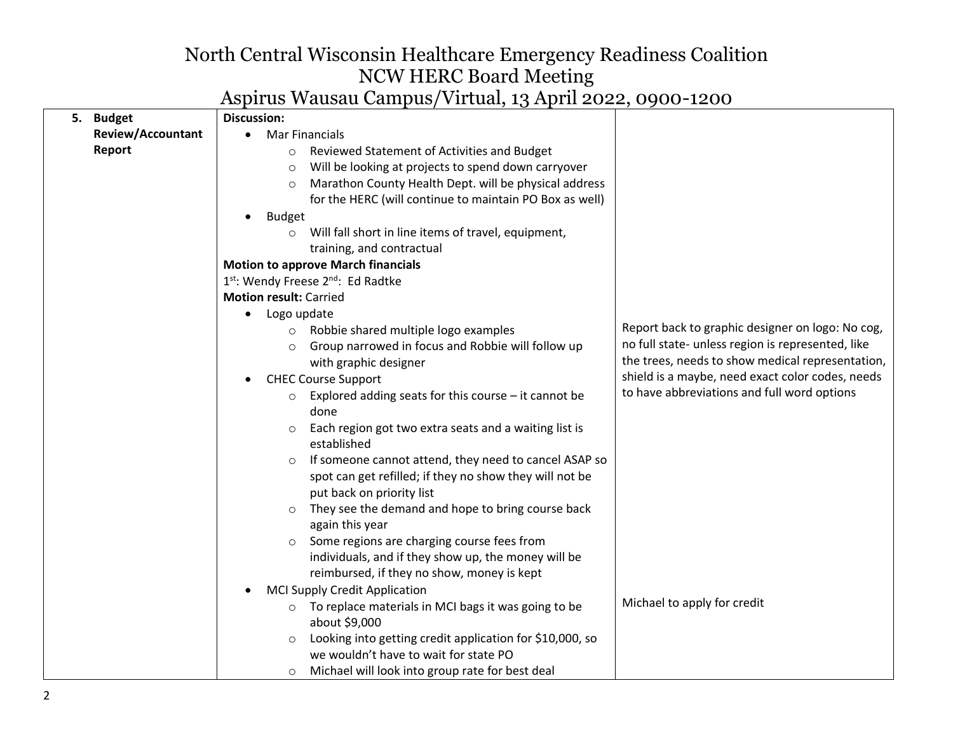| 5. | <b>Budget</b>            | <b>Discussion:</b>                                                  |                                                   |
|----|--------------------------|---------------------------------------------------------------------|---------------------------------------------------|
|    | <b>Review/Accountant</b> | <b>Mar Financials</b><br>$\bullet$                                  |                                                   |
|    | Report                   | Reviewed Statement of Activities and Budget<br>$\circ$              |                                                   |
|    |                          | Will be looking at projects to spend down carryover<br>$\circ$      |                                                   |
|    |                          | Marathon County Health Dept. will be physical address<br>$\circ$    |                                                   |
|    |                          | for the HERC (will continue to maintain PO Box as well)             |                                                   |
|    |                          | <b>Budget</b><br>$\bullet$                                          |                                                   |
|    |                          | Will fall short in line items of travel, equipment,<br>$\circ$      |                                                   |
|    |                          | training, and contractual                                           |                                                   |
|    |                          | <b>Motion to approve March financials</b>                           |                                                   |
|    |                          | 1st: Wendy Freese 2nd: Ed Radtke                                    |                                                   |
|    |                          | <b>Motion result: Carried</b>                                       |                                                   |
|    |                          | Logo update<br>$\bullet$                                            |                                                   |
|    |                          | Robbie shared multiple logo examples<br>$\circ$                     | Report back to graphic designer on logo: No cog,  |
|    |                          | Group narrowed in focus and Robbie will follow up                   | no full state- unless region is represented, like |
|    |                          | with graphic designer                                               | the trees, needs to show medical representation,  |
|    |                          | <b>CHEC Course Support</b><br>$\bullet$                             | shield is a maybe, need exact color codes, needs  |
|    |                          | Explored adding seats for this course $-$ it cannot be              | to have abbreviations and full word options       |
|    |                          | done                                                                |                                                   |
|    |                          | Each region got two extra seats and a waiting list is               |                                                   |
|    |                          | established                                                         |                                                   |
|    |                          | If someone cannot attend, they need to cancel ASAP so<br>$\circ$    |                                                   |
|    |                          | spot can get refilled; if they no show they will not be             |                                                   |
|    |                          | put back on priority list                                           |                                                   |
|    |                          | They see the demand and hope to bring course back<br>$\circ$        |                                                   |
|    |                          | again this year                                                     |                                                   |
|    |                          | Some regions are charging course fees from                          |                                                   |
|    |                          | individuals, and if they show up, the money will be                 |                                                   |
|    |                          | reimbursed, if they no show, money is kept                          |                                                   |
|    |                          | <b>MCI Supply Credit Application</b><br>$\bullet$                   | Michael to apply for credit                       |
|    |                          | o To replace materials in MCI bags it was going to be               |                                                   |
|    |                          | about \$9,000                                                       |                                                   |
|    |                          | Looking into getting credit application for \$10,000, so<br>$\circ$ |                                                   |
|    |                          | we wouldn't have to wait for state PO                               |                                                   |
|    |                          | Michael will look into group rate for best deal<br>$\circ$          |                                                   |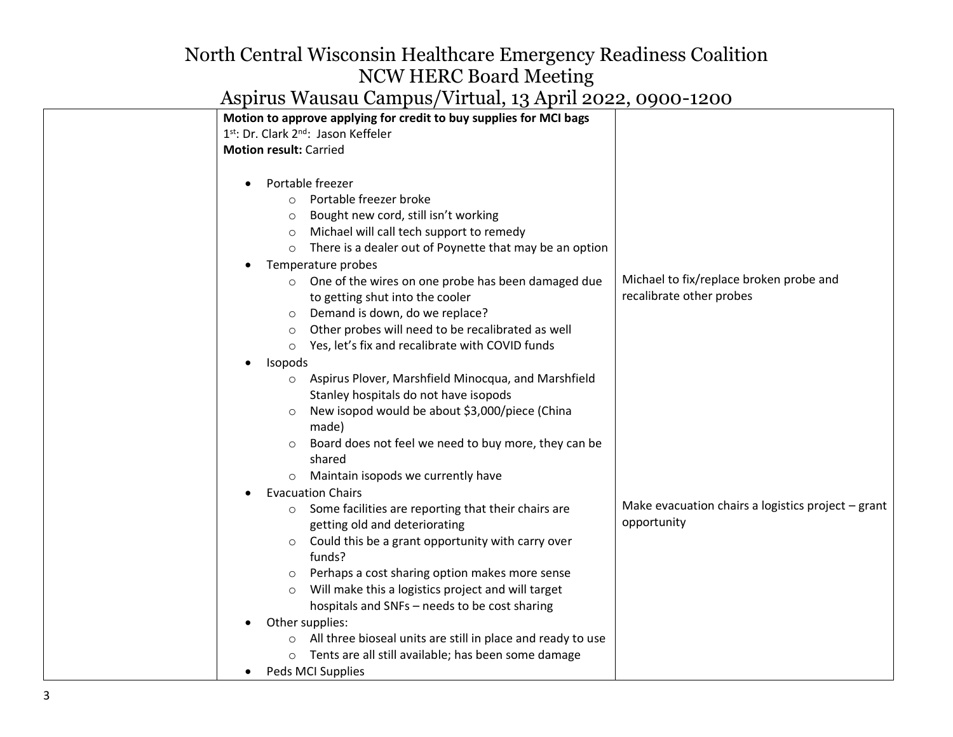|                               | Motion to approve applying for credit to buy supplies for MCI bags |                                                    |
|-------------------------------|--------------------------------------------------------------------|----------------------------------------------------|
|                               | 1 <sup>st</sup> : Dr. Clark 2 <sup>nd</sup> : Jason Keffeler       |                                                    |
| <b>Motion result: Carried</b> |                                                                    |                                                    |
|                               |                                                                    |                                                    |
|                               | Portable freezer                                                   |                                                    |
| $\circ$                       | Portable freezer broke                                             |                                                    |
| $\circ$                       | Bought new cord, still isn't working                               |                                                    |
| $\circ$                       | Michael will call tech support to remedy                           |                                                    |
| $\circ$                       | There is a dealer out of Poynette that may be an option            |                                                    |
|                               | Temperature probes                                                 |                                                    |
| $\circ$                       | One of the wires on one probe has been damaged due                 | Michael to fix/replace broken probe and            |
|                               | to getting shut into the cooler                                    | recalibrate other probes                           |
| $\circ$                       | Demand is down, do we replace?                                     |                                                    |
| $\circ$                       | Other probes will need to be recalibrated as well                  |                                                    |
| $\circ$                       | Yes, let's fix and recalibrate with COVID funds                    |                                                    |
| Isopods                       |                                                                    |                                                    |
|                               | Aspirus Plover, Marshfield Minocqua, and Marshfield                |                                                    |
|                               | Stanley hospitals do not have isopods                              |                                                    |
|                               | New isopod would be about \$3,000/piece (China                     |                                                    |
|                               | made)                                                              |                                                    |
|                               | Board does not feel we need to buy more, they can be               |                                                    |
|                               | shared                                                             |                                                    |
|                               | Maintain isopods we currently have                                 |                                                    |
|                               | <b>Evacuation Chairs</b>                                           |                                                    |
|                               | Some facilities are reporting that their chairs are                | Make evacuation chairs a logistics project - grant |
|                               | getting old and deteriorating                                      | opportunity                                        |
| $\circ$                       | Could this be a grant opportunity with carry over                  |                                                    |
|                               | funds?                                                             |                                                    |
| $\circ$                       | Perhaps a cost sharing option makes more sense                     |                                                    |
| $\circ$                       | Will make this a logistics project and will target                 |                                                    |
|                               | hospitals and SNFs - needs to be cost sharing                      |                                                    |
|                               | Other supplies:                                                    |                                                    |
|                               | All three bioseal units are still in place and ready to use        |                                                    |
|                               | Tents are all still available; has been some damage                |                                                    |
|                               | Peds MCI Supplies                                                  |                                                    |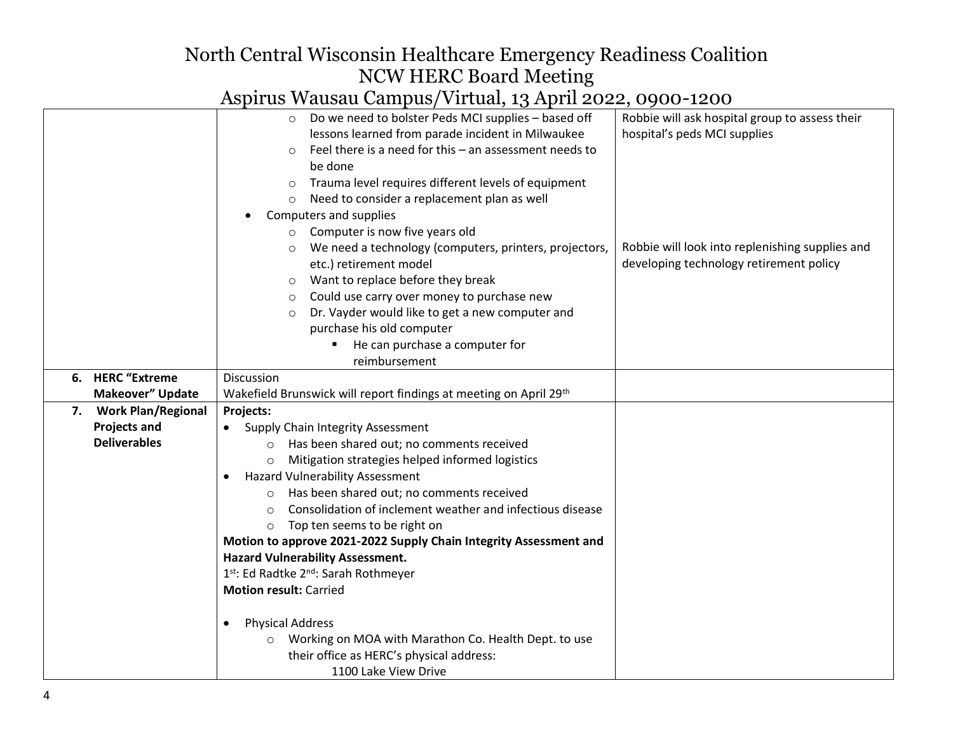|                                                                 | Do we need to bolster Peds MCI supplies - based off<br>$\circ$       | Robbie will ask hospital group to assess their  |
|-----------------------------------------------------------------|----------------------------------------------------------------------|-------------------------------------------------|
|                                                                 | lessons learned from parade incident in Milwaukee                    | hospital's peds MCI supplies                    |
|                                                                 | Feel there is a need for this - an assessment needs to<br>$\circ$    |                                                 |
|                                                                 | be done                                                              |                                                 |
|                                                                 | Trauma level requires different levels of equipment<br>$\circ$       |                                                 |
|                                                                 | Need to consider a replacement plan as well<br>$\circ$               |                                                 |
|                                                                 | Computers and supplies                                               |                                                 |
|                                                                 | Computer is now five years old<br>$\circ$                            |                                                 |
|                                                                 | We need a technology (computers, printers, projectors,<br>$\circ$    | Robbie will look into replenishing supplies and |
|                                                                 | etc.) retirement model                                               | developing technology retirement policy         |
|                                                                 | Want to replace before they break<br>$\circ$                         |                                                 |
|                                                                 | Could use carry over money to purchase new<br>$\circ$                |                                                 |
|                                                                 | Dr. Vayder would like to get a new computer and<br>$\circ$           |                                                 |
|                                                                 | purchase his old computer                                            |                                                 |
|                                                                 | He can purchase a computer for                                       |                                                 |
|                                                                 | reimbursement                                                        |                                                 |
| 6. HERC "Extreme                                                | Discussion                                                           |                                                 |
| Makeover" Update                                                | Wakefield Brunswick will report findings at meeting on April 29th    |                                                 |
| <b>Work Plan/Regional</b><br>7.                                 | Projects:                                                            |                                                 |
| <b>Projects and</b>                                             | <b>Supply Chain Integrity Assessment</b>                             |                                                 |
| <b>Deliverables</b>                                             | Has been shared out; no comments received<br>$\circ$                 |                                                 |
|                                                                 | Mitigation strategies helped informed logistics<br>$\circ$           |                                                 |
|                                                                 | <b>Hazard Vulnerability Assessment</b><br>$\bullet$                  |                                                 |
|                                                                 | Has been shared out; no comments received<br>$\circ$                 |                                                 |
|                                                                 | Consolidation of inclement weather and infectious disease<br>$\circ$ |                                                 |
|                                                                 | Top ten seems to be right on<br>$\circ$                              |                                                 |
|                                                                 | Motion to approve 2021-2022 Supply Chain Integrity Assessment and    |                                                 |
|                                                                 | <b>Hazard Vulnerability Assessment.</b>                              |                                                 |
| 1st: Ed Radtke 2nd: Sarah Rothmeyer                             |                                                                      |                                                 |
|                                                                 | <b>Motion result: Carried</b>                                        |                                                 |
|                                                                 |                                                                      |                                                 |
|                                                                 | <b>Physical Address</b><br>$\bullet$                                 |                                                 |
| Working on MOA with Marathon Co. Health Dept. to use<br>$\circ$ |                                                                      |                                                 |
| their office as HERC's physical address:                        |                                                                      |                                                 |
| 1100 Lake View Drive                                            |                                                                      |                                                 |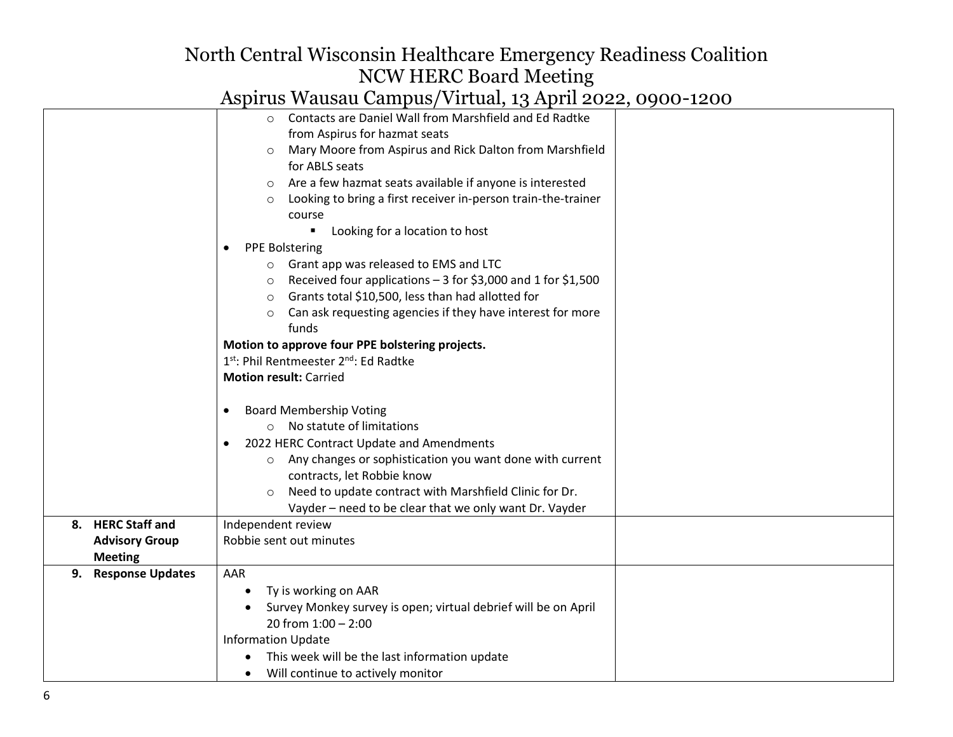|                                          | Contacts are Daniel Wall from Marshfield and Ed Radtke<br>$\circ$        |  |
|------------------------------------------|--------------------------------------------------------------------------|--|
|                                          | from Aspirus for hazmat seats                                            |  |
|                                          | Mary Moore from Aspirus and Rick Dalton from Marshfield                  |  |
|                                          | for ABLS seats                                                           |  |
|                                          | Are a few hazmat seats available if anyone is interested<br>$\circ$      |  |
|                                          | Looking to bring a first receiver in-person train-the-trainer<br>$\circ$ |  |
|                                          | course                                                                   |  |
|                                          | Looking for a location to host                                           |  |
|                                          | <b>PPE Bolstering</b>                                                    |  |
|                                          | o Grant app was released to EMS and LTC                                  |  |
|                                          | Received four applications $-3$ for \$3,000 and 1 for \$1,500<br>$\circ$ |  |
|                                          | Grants total \$10,500, less than had allotted for<br>$\circ$             |  |
|                                          | Can ask requesting agencies if they have interest for more<br>$\circ$    |  |
|                                          | funds                                                                    |  |
|                                          | Motion to approve four PPE bolstering projects.                          |  |
|                                          | 1 <sup>st</sup> : Phil Rentmeester 2 <sup>nd</sup> : Ed Radtke           |  |
|                                          | <b>Motion result: Carried</b>                                            |  |
|                                          |                                                                          |  |
|                                          | <b>Board Membership Voting</b>                                           |  |
|                                          | No statute of limitations<br>$\circ$                                     |  |
| 2022 HERC Contract Update and Amendments |                                                                          |  |
|                                          | Any changes or sophistication you want done with current<br>$\circ$      |  |
|                                          | contracts, let Robbie know                                               |  |
|                                          | Need to update contract with Marshfield Clinic for Dr.<br>$\circ$        |  |
|                                          | Vayder - need to be clear that we only want Dr. Vayder                   |  |
| 8. HERC Staff and                        | Independent review                                                       |  |
| <b>Advisory Group</b>                    | Robbie sent out minutes                                                  |  |
| <b>Meeting</b>                           |                                                                          |  |
| 9. Response Updates                      | AAR                                                                      |  |
|                                          | Ty is working on AAR                                                     |  |
|                                          | Survey Monkey survey is open; virtual debrief will be on April           |  |
| 20 from $1:00 - 2:00$                    |                                                                          |  |
| <b>Information Update</b>                |                                                                          |  |
|                                          | This week will be the last information update                            |  |
| Will continue to actively monitor        |                                                                          |  |